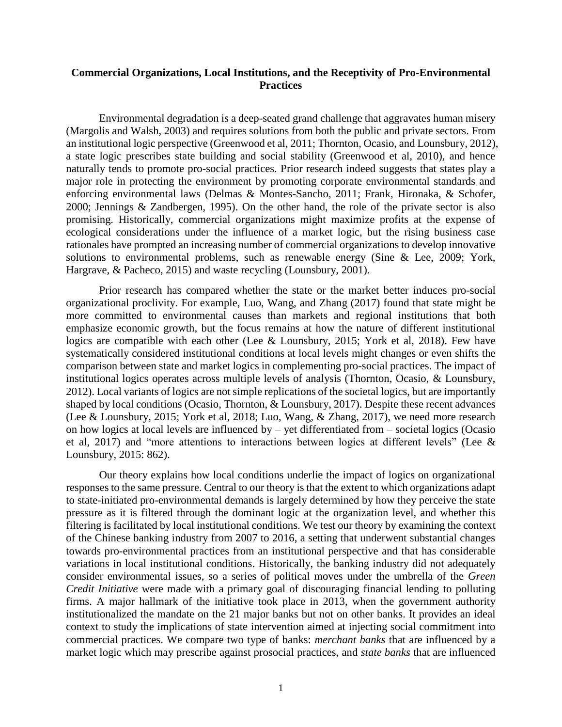## **Commercial Organizations, Local Institutions, and the Receptivity of Pro-Environmental Practices**

Environmental degradation is a deep-seated grand challenge that aggravates human misery (Margolis and Walsh, 2003) and requires solutions from both the public and private sectors. From an institutional logic perspective (Greenwood et al, 2011; Thornton, Ocasio, and Lounsbury, 2012), a state logic prescribes state building and social stability (Greenwood et al, 2010), and hence naturally tends to promote pro-social practices. Prior research indeed suggests that states play a major role in protecting the environment by promoting corporate environmental standards and enforcing environmental laws (Delmas & Montes-Sancho, 2011; Frank, Hironaka, & Schofer, 2000; Jennings & Zandbergen, 1995). On the other hand, the role of the private sector is also promising. Historically, commercial organizations might maximize profits at the expense of ecological considerations under the influence of a market logic, but the rising business case rationales have prompted an increasing number of commercial organizations to develop innovative solutions to environmental problems, such as renewable energy (Sine & Lee, 2009; York, Hargrave, & Pacheco, 2015) and waste recycling (Lounsbury, 2001).

Prior research has compared whether the state or the market better induces pro-social organizational proclivity. For example, Luo, Wang, and Zhang (2017) found that state might be more committed to environmental causes than markets and regional institutions that both emphasize economic growth, but the focus remains at how the nature of different institutional logics are compatible with each other (Lee & Lounsbury, 2015; York et al, 2018). Few have systematically considered institutional conditions at local levels might changes or even shifts the comparison between state and market logics in complementing pro-social practices. The impact of institutional logics operates across multiple levels of analysis (Thornton, Ocasio, & Lounsbury, 2012). Local variants of logics are not simple replications of the societal logics, but are importantly shaped by local conditions (Ocasio, Thornton, & Lounsbury, 2017). Despite these recent advances (Lee & Lounsbury, 2015; York et al, 2018; Luo, Wang, & Zhang, 2017), we need more research on how logics at local levels are influenced by – yet differentiated from – societal logics (Ocasio et al, 2017) and "more attentions to interactions between logics at different levels" (Lee & Lounsbury, 2015: 862).

Our theory explains how local conditions underlie the impact of logics on organizational responses to the same pressure. Central to our theory is that the extent to which organizations adapt to state-initiated pro-environmental demands is largely determined by how they perceive the state pressure as it is filtered through the dominant logic at the organization level, and whether this filtering is facilitated by local institutional conditions. We test our theory by examining the context of the Chinese banking industry from 2007 to 2016, a setting that underwent substantial changes towards pro-environmental practices from an institutional perspective and that has considerable variations in local institutional conditions. Historically, the banking industry did not adequately consider environmental issues, so a series of political moves under the umbrella of the *Green Credit Initiative* were made with a primary goal of discouraging financial lending to polluting firms. A major hallmark of the initiative took place in 2013, when the government authority institutionalized the mandate on the 21 major banks but not on other banks. It provides an ideal context to study the implications of state intervention aimed at injecting social commitment into commercial practices. We compare two type of banks: *merchant banks* that are influenced by a market logic which may prescribe against prosocial practices, and *state banks* that are influenced